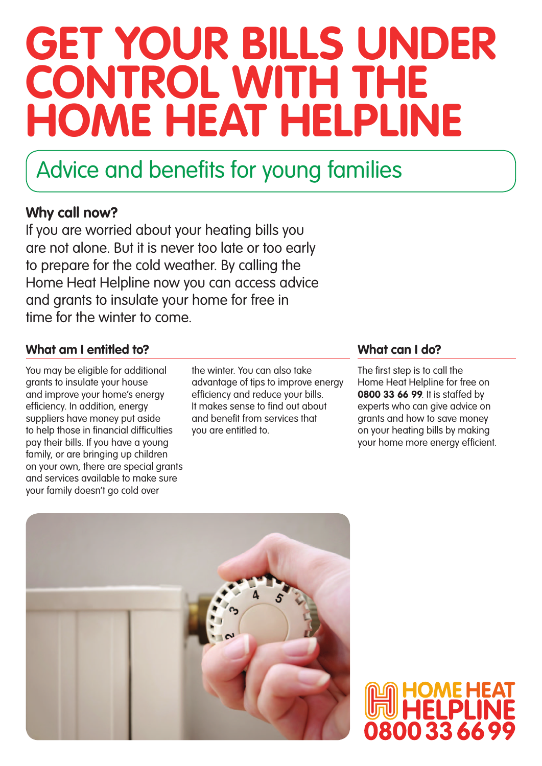# **Get your bills under control with the Home Heat Helpline**

### Advice and benefits for young families

### **Why call now?**

If you are worried about your heating bills you are not alone. But it is never too late or too early to prepare for the cold weather. By calling the Home Heat Helpline now you can access advice and grants to insulate your home for free in time for the winter to come.

#### **What am I entitled to? What can I do?**

You may be eligible for additional grants to insulate your house and improve your home's energy efficiency. In addition, energy suppliers have money put aside to help those in financial difficulties pay their bills. If you have a young family, or are bringing up children on your own, there are special grants and services available to make sure your family doesn't go cold over

the winter. You can also take advantage of tips to improve energy efficiency and reduce your bills. It makes sense to find out about and benefit from services that you are entitled to.

The first step is to call the Home Heat Helpline for free on **0800 33 66 99**. It is staffed by experts who can give advice on grants and how to save money on your heating bills by making your home more energy efficient.